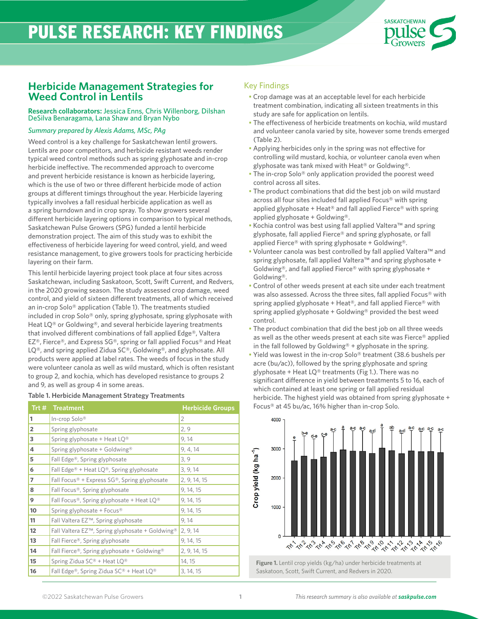# PULSE RESEARCH: KEY FINDINGS



### **Herbicide Management Strategies for Weed Control in Lentils**

### **Research collaborators:** Jessica Enns, Chris Willenborg, Dilshan DeSilva Benaragama, Lana Shaw and Bryan Nybo

### *Summary prepared by Alexis Adams, MSc, PAg*

Weed control is a key challenge for Saskatchewan lentil growers. Lentils are poor competitors, and herbicide resistant weeds render typical weed control methods such as spring glyphosate and in-crop herbicide ineffective. The recommended approach to overcome and prevent herbicide resistance is known as herbicide layering, which is the use of two or three different herbicide mode of action groups at different timings throughout the year. Herbicide layering typically involves a fall residual herbicide application as well as a spring burndown and in crop spray. To show growers several different herbicide layering options in comparison to typical methods, Saskatchewan Pulse Growers (SPG) funded a lentil herbicide demonstration project. The aim of this study was to exhibit the effectiveness of herbicide layering for weed control, yield, and weed resistance management, to give growers tools for practicing herbicide layering on their farm.

This lentil herbicide layering project took place at four sites across Saskatchewan, including Saskatoon, Scott, Swift Current, and Redvers, in the 2020 growing season. The study assessed crop damage, weed control, and yield of sixteen different treatments, all of which received an in-crop Solo® application (Table 1). The treatments studied included in crop Solo® only, spring glyphosate, spring glyphosate with Heat LQ® or Goldwing®, and several herbicide layering treatments that involved different combinations of fall applied Edge®, Valtera EZ®, Fierce®, and Express SG®, spring or fall applied Focus® and Heat LQ®, and spring applied Zidua SC®, Goldwing®, and glyphosate. All products were applied at label rates. The weeds of focus in the study were volunteer canola as well as wild mustard, which is often resistant to group 2, and kochia, which has developed resistance to groups 2 and 9, as well as group 4 in some areas.

#### **Table 1. Herbicide Management Strategy Treatments**

| Trt #          | Treatment                                                               | <b>Herbicide Groups</b> |
|----------------|-------------------------------------------------------------------------|-------------------------|
| 1              | In-crop Solo®                                                           | 2                       |
| $\overline{2}$ | Spring glyphosate                                                       | 2, 9                    |
| 3              | Spring glyphosate + Heat $LQ^{\circledR}$                               | 9,14                    |
| 4              | Spring glyphosate + Goldwing <sup>®</sup>                               | 9, 4, 14                |
| 5              | Fall Edge®, Spring glyphosate                                           | 3, 9                    |
| 6              | Fall Edge <sup>®</sup> + Heat LQ <sup>®</sup> , Spring glyphosate       | 3, 9, 14                |
| $\overline{ }$ | Fall Focus <sup>®</sup> + Express $SG$ <sup>®</sup> , Spring glyphosate | 2, 9, 14, 15            |
| 8              | Fall Focus®, Spring glyphosate                                          | 9, 14, 15               |
| 9              | Fall Focus®, Spring glyphosate + Heat LQ®                               | 9, 14, 15               |
| 10             | Spring glyphosate + Focus <sup>®</sup>                                  | 9, 14, 15               |
| 11             | Fall Valtera EZ <sup>™</sup> , Spring glyphosate                        | 9, 14                   |
| 12             | Fall Valtera EZ™, Spring glyphosate + Goldwing <sup>®</sup>             | 2, 9, 14                |
| 13             | Fall Fierce®, Spring glyphosate                                         | 9, 14, 15               |
| 14             | Fall Fierce®, Spring glyphosate + Goldwing®                             | 2, 9, 14, 15            |
| 15             | Spring Zidua SC® + Heat LQ®                                             | 14, 15                  |
| 16             | Fall Edge®, Spring Zidua SC® + Heat LQ®                                 | 3, 14, 15               |

### Key Findings

- Crop damage was at an acceptable level for each herbicide treatment combination, indicating all sixteen treatments in this study are safe for application on lentils.
- The effectiveness of herbicide treatments on kochia, wild mustard and volunteer canola varied by site, however some trends emerged (Table 2).
- Applying herbicides only in the spring was not effective for controlling wild mustard, kochia, or volunteer canola even when glyphosate was tank mixed with Heat® or Goldwing®.
- The in-crop Solo® only application provided the poorest weed control across all sites.
- The product combinations that did the best job on wild mustard across all four sites included fall applied Focus® with spring applied glyphosate + Heat<sup>®</sup> and fall applied Fierce<sup>®</sup> with spring applied glyphosate + Goldwing®.
- Kochia control was best using fall applied Valtera™ and spring glyphosate, fall applied Fierce® and spring glyphosate, or fall applied Fierce® with spring glyphosate + Goldwing®.
- Volunteer canola was best controlled by fall applied Valtera™ and spring glyphosate, fall applied Valtera™ and spring glyphosate + Goldwing®, and fall applied Fierce® with spring glyphosate + Goldwing®.
- Control of other weeds present at each site under each treatment was also assessed. Across the three sites, fall applied Focus® with spring applied glyphosate + Heat<sup>®</sup>, and fall applied Fierce<sup>®</sup> with spring applied glyphosate + Goldwing® provided the best weed control.
- The product combination that did the best job on all three weeds as well as the other weeds present at each site was Fierce® applied in the fall followed by Goldwing<sup>®</sup> + glyphosate in the spring.
- Yield was lowest in the in-crop Solo® treatment (38.6 bushels per acre (bu/ac)), followed by the spring glyphosate and spring glyphosate + Heat  $LQ^@$  treatments (Fig 1.). There was no significant difference in yield between treatments 5 to 16, each of which contained at least one spring or fall applied residual herbicide. The highest yield was obtained from spring glyphosate + Focus® at 45 bu/ac, 16% higher than in-crop Solo.



**Figure 1.** Lentil crop yields (kg/ha) under herbicide treatments at Saskatoon, Scott, Swift Current, and Redvers in 2020.